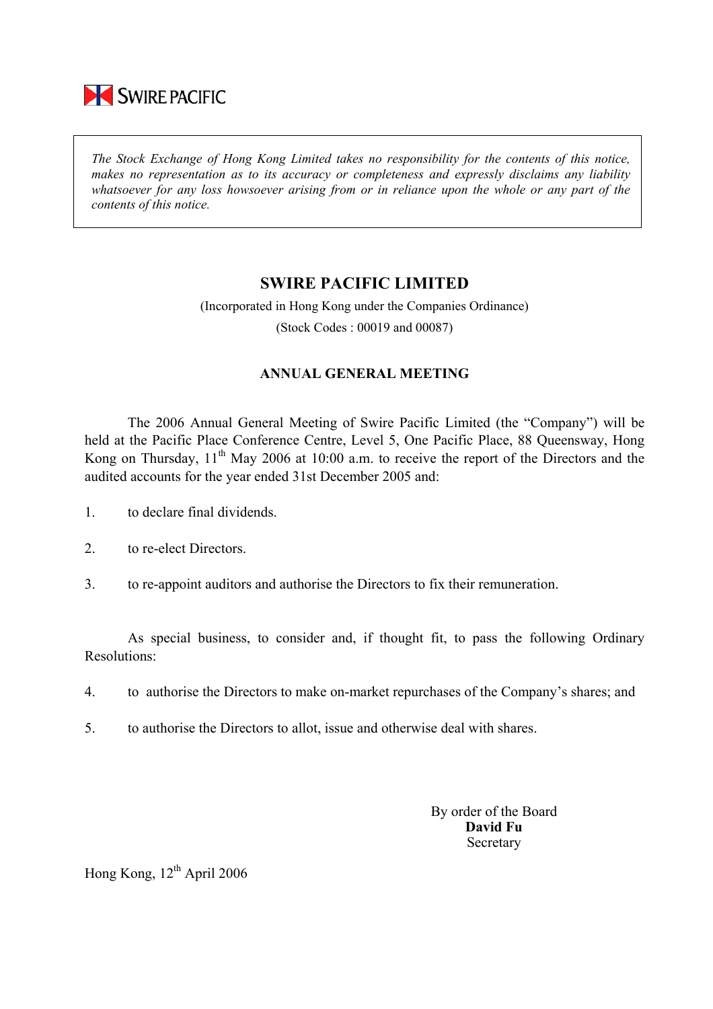

*The Stock Exchange of Hong Kong Limited takes no responsibility for the contents of this notice, makes no representation as to its accuracy or completeness and expressly disclaims any liability whatsoever for any loss howsoever arising from or in reliance upon the whole or any part of the contents of this notice.* 

## **SWIRE PACIFIC LIMITED**

(Incorporated in Hong Kong under the Companies Ordinance) (Stock Codes : 00019 and 00087)

## **ANNUAL GENERAL MEETING**

 The 2006 Annual General Meeting of Swire Pacific Limited (the "Company") will be held at the Pacific Place Conference Centre, Level 5, One Pacific Place, 88 Queensway, Hong Kong on Thursday, 11<sup>th</sup> May 2006 at 10:00 a.m. to receive the report of the Directors and the audited accounts for the year ended 31st December 2005 and:

- 1. to declare final dividends.
- 2. to re-elect Directors.
- 3. to re-appoint auditors and authorise the Directors to fix their remuneration.

As special business, to consider and, if thought fit, to pass the following Ordinary Resolutions:

- 4. to authorise the Directors to make on-market repurchases of the Company's shares; and
- 5. to authorise the Directors to allot, issue and otherwise deal with shares.

By order of the Board **David Fu**  Secretary

Hong Kong,  $12^{th}$  April 2006